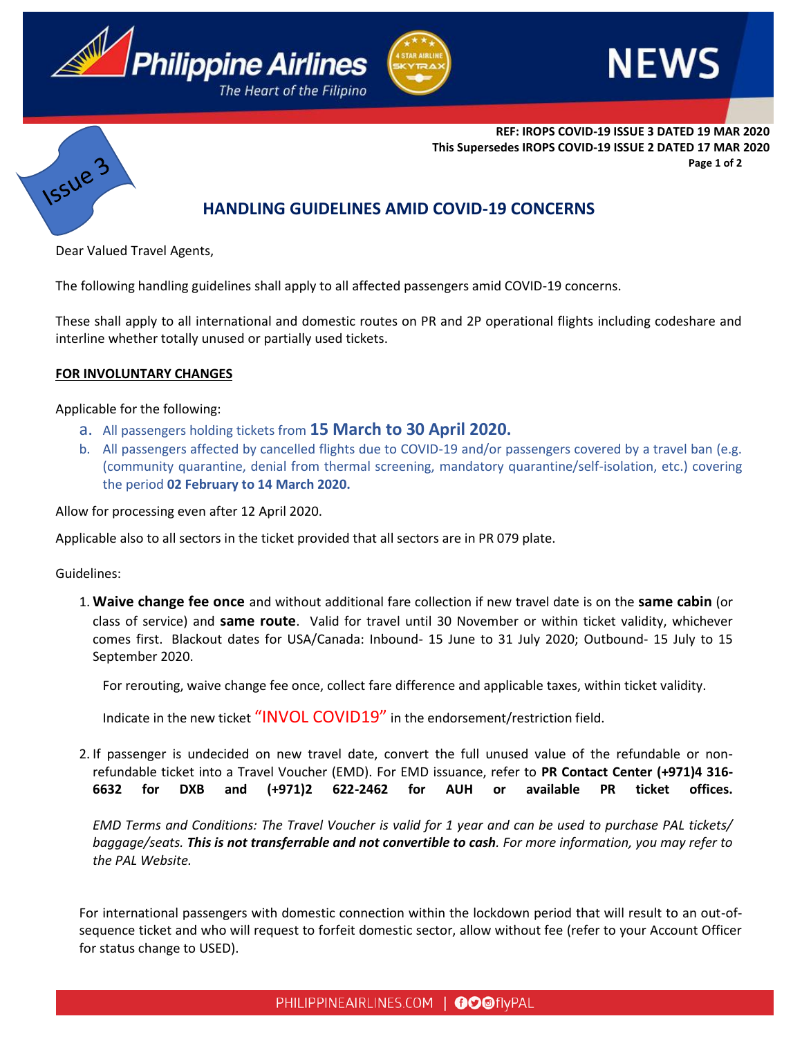







**REF: IROPS COVID-19 ISSUE 3 DATED 19 MAR 2020 This Supersedes IROPS COVID-19 ISSUE 2 DATED 17 MAR 2020 Page 1 of 2**

# **HANDLING GUIDELINES AMID COVID-19 CONCERNS**

Dear Valued Travel Agents,

The following handling guidelines shall apply to all affected passengers amid COVID-19 concerns.

These shall apply to all international and domestic routes on PR and 2P operational flights including codeshare and interline whether totally unused or partially used tickets.

## **FOR INVOLUNTARY CHANGES**

Applicable for the following:

- a. All passengers holding tickets from **15 March to 30 April 2020.**
- b. All passengers affected by cancelled flights due to COVID-19 and/or passengers covered by a travel ban (e.g. (community quarantine, denial from thermal screening, mandatory quarantine/self-isolation, etc.) covering the period **02 February to 14 March 2020.**

Allow for processing even after 12 April 2020.

Applicable also to all sectors in the ticket provided that all sectors are in PR 079 plate.

Guidelines:

1. **Waive change fee once** and without additional fare collection if new travel date is on the **same cabin** (or class of service) and **same route**. Valid for travel until 30 November or within ticket validity, whichever comes first. Blackout dates for USA/Canada: Inbound- 15 June to 31 July 2020; Outbound- 15 July to 15 September 2020.

For rerouting, waive change fee once, collect fare difference and applicable taxes, within ticket validity.

Indicate in the new ticket "INVOL COVID19" in the endorsement/restriction field.

2. If passenger is undecided on new travel date, convert the full unused value of the refundable or nonrefundable ticket into a Travel Voucher (EMD). For EMD issuance, refer to **PR Contact Center (+971)4 316- 6632 for DXB and (+971)2 622-2462 for AUH or available PR ticket offices.**

*EMD Terms and Conditions: The Travel Voucher is valid for 1 year and can be used to purchase PAL tickets/ baggage/seats. This is not transferrable and not convertible to cash. For more information, you may refer to the PAL Website.*

For international passengers with domestic connection within the lockdown period that will result to an out-ofsequence ticket and who will request to forfeit domestic sector, allow without fee (refer to your Account Officer for status change to USED).

PHILIPPINEAIRLINES.COM | OOOflyPAL